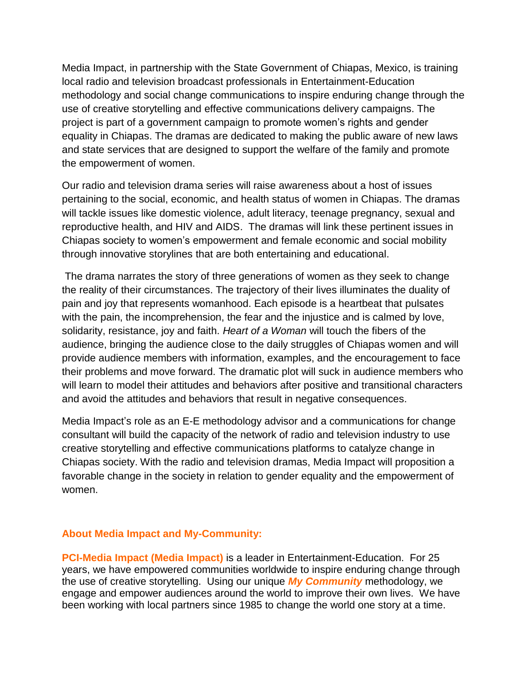Media Impact, in partnership with the State Government of Chiapas, Mexico, is training local radio and television broadcast professionals in Entertainment-Education methodology and social change communications to inspire enduring change through the use of creative storytelling and effective communications delivery campaigns. The project is part of a government campaign to promote women's rights and gender equality in Chiapas. The dramas are dedicated to making the public aware of new laws and state services that are designed to support the welfare of the family and promote the empowerment of women.

Our radio and television drama series will raise awareness about a host of issues pertaining to the social, economic, and health status of women in Chiapas. The dramas will tackle issues like domestic violence, adult literacy, teenage pregnancy, sexual and reproductive health, and HIV and AIDS. The dramas will link these pertinent issues in Chiapas society to women's empowerment and female economic and social mobility through innovative storylines that are both entertaining and educational.

The drama narrates the story of three generations of women as they seek to change the reality of their circumstances. The trajectory of their lives illuminates the duality of pain and joy that represents womanhood. Each episode is a heartbeat that pulsates with the pain, the incomprehension, the fear and the injustice and is calmed by love, solidarity, resistance, joy and faith. *Heart of a Woman* will touch the fibers of the audience, bringing the audience close to the daily struggles of Chiapas women and will provide audience members with information, examples, and the encouragement to face their problems and move forward. The dramatic plot will suck in audience members who will learn to model their attitudes and behaviors after positive and transitional characters and avoid the attitudes and behaviors that result in negative consequences.

Media Impact's role as an E-E methodology advisor and a communications for change consultant will build the capacity of the network of radio and television industry to use creative storytelling and effective communications platforms to catalyze change in Chiapas society. With the radio and television dramas, Media Impact will proposition a favorable change in the society in relation to gender equality and the empowerment of women.

## **About Media Impact and My-Community:**

**PCI-Media Impact (Media Impact)** is a leader in Entertainment-Education. For 25 years, we have empowered communities worldwide to inspire enduring change through the use of creative storytelling. Using our unique *My Community* methodology, we engage and empower audiences around the world to improve their own lives. We have been working with local partners since 1985 to change the world one story at a time.